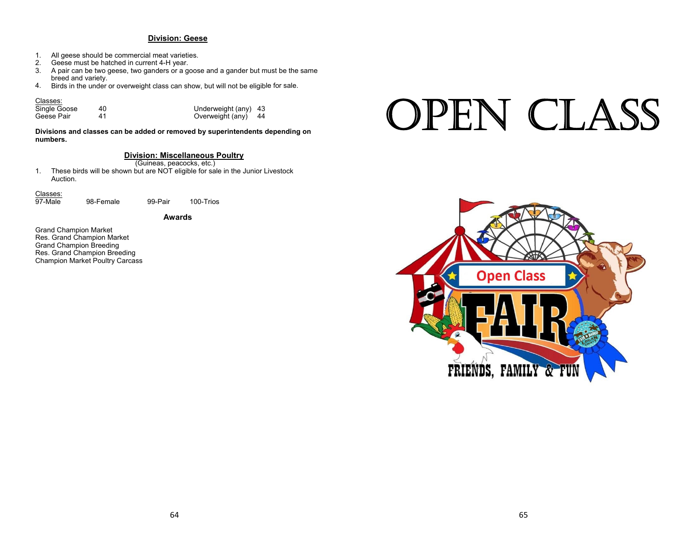# **Division: Geese**

- 1. All geese should be commercial meat varieties.
- 2. Geese must be hatched in current 4-H year.
- 3. A pair can be two geese, two ganders or a goose and a gander but must be the same breed and variety.
- 4.Birds in the under or overweight class can show, but will not be eligible for sale.

#### Classes:

Single Goose  $\begin{array}{ccc} 40 & 41 & 42 \\ 41 & 42 & 43 \\ 42 & 43 & 44 \end{array}$  (Diverweight (any) 44 Geese Pair

Overweight (any) 44

# **Divisions and classes can be added or removed by superintendents depending on numbers.**

# **Division: Miscellaneous Poultry**

(Guineas, peacocks, etc.)

1. These birds will be shown but are NOT eligible for sale in the Junior Livestock Auction.

#### Classes:

98-Female 99-Pair 100-Trios

**Awards**

Grand Champion Market Res. Grand Champion Market Grand Champion Breeding Res. Grand Champion Breeding Champion Market Poultry Carcass

# OPEN CLASS

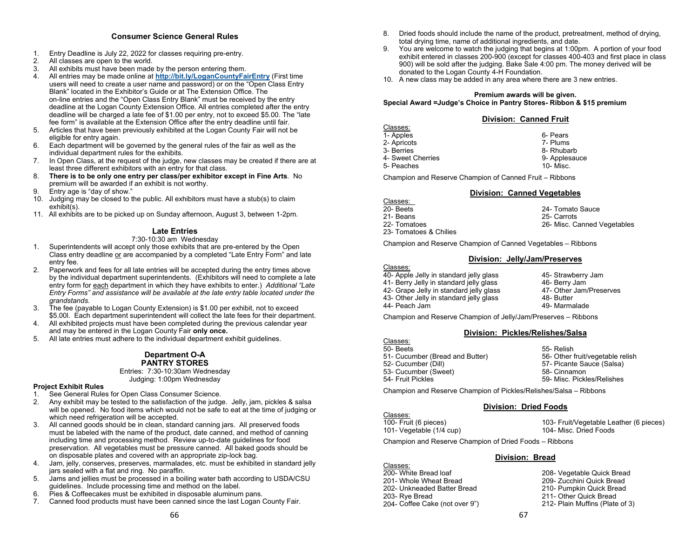# **Consumer Science General Rules**

- 1. Entry Deadline is July 22, 2022 for classes requiring pre-entry.<br>2. All classes are open to the world
- All classes are open to the world.
- 3. All exhibits must have been made by the person entering them.
- 4. All entries may be made online at **http://bit.ly/LoganCountyFairEntry** (First time users will need to create a user name and password) or on the "Open Class Entry Blank" located in the Exhibitor's Guide or at The Extension Office. The on-line entries and the "Open Class Entry Blank" must be received by the entry deadline at the Logan County Extension Office. All entries completed after the entry deadline will be charged a late fee of \$1.00 per entry, not to exceed \$5.00. The "late fee form" is available at the Extension Office after the entry deadline until fair.
- 5. Articles that have been previously exhibited at the Logan County Fair will not be eligible for entry again.
- 6. Each department will be governed by the general rules of the fair as well as the individual department rules for the exhibits.
- 7. In Open Class, at the request of the judge, new classes may be created if there are at least three different exhibitors with an entry for that class.
- 8. **There is to be only one entry per class/per exhibitor except in Fine Arts**. No premium will be awarded if an exhibit is not worthy.
- 9.Entry age is "day of show."
- 10. Judging may be closed to the public. All exhibitors must have a stub(s) to claim exhibit(s).
- 11. All exhibits are to be picked up on Sunday afternoon, August 3, between 1-2pm.

# **Late Entries**

# 7:30-10:30 am Wednesday

- 1. Superintendents will accept only those exhibits that are pre-entered by the Open Class entry deadline or are accompanied by a completed "Late Entry Form" and late entry fee.
- 2. Paperwork and fees for all late entries will be accepted during the entry times above by the individual department superintendents. (Exhibitors will need to complete a late entry form for each department in which they have exhibits to enter.) *Additional "Late Entry Forms" and assistance will be available at the late entry table located under the grandstands.*
- 3. The fee (payable to Logan County Extension) is \$1.00 per exhibit, not to exceed \$5.00l. Each department superintendent will collect the late fees for their department.
- 4. All exhibited projects must have been completed during the previous calendar year and may be entered in the Logan County Fair **only once.**
- 5. All late entries must adhere to the individual department exhibit guidelines.

# **Department O-A PANTRY STORES**

 Entries: 7:30-10:30am Wednesday Judging: 1:00pm Wednesday

#### **Project Exhibit Rules**

- 1. See General Rules for Open Class Consumer Science.
- 2. Any exhibit may be tested to the satisfaction of the judge. Jelly, jam, pickles & salsa will be opened. No food items which would not be safe to eat at the time of judging or which need refrigeration will be accepted.
- 3. All canned goods should be in clean, standard canning jars. All preserved foods must be labeled with the name of the product, date canned, and method of canning including time and processing method. Review up-to-date guidelines for food preservation. All vegetables must be pressure canned. All baked goods should be on disposable plates and covered with an appropriate zip-lock bag.
- 4. Jam, jelly, conserves, preserves, marmalades, etc. must be exhibited in standard jelly jars sealed with a flat and ring. No paraffin.
- 5. Jams and jellies must be processed in a boiling water bath according to USDA/CSU guidelines. Include processing time and method on the label.
- 6. Pies & Coffeecakes must be exhibited in disposable aluminum pans.
- 7. Canned food products must have been canned since the last Logan County Fair.
- 8. Dried foods should include the name of the product, pretreatment, method of drying, total drying time, name of additional ingredients, and date.
- 9. You are welcome to watch the judging that begins at 1:00pm. A portion of your food exhibit entered in classes 200-900 (except for classes 400-403 and first place in class 900) will be sold after the judging. Bake Sale 4:00 pm. The money derived will be donated to the Logan County 4-H Foundation.
- 10. A new class may be added in any area where there are 3 new entries.

## **Premium awards will be given. Special Award =Judge's Choice in Pantry Stores- Ribbon & \$15 premium**

| <b>Division: Canned Fruit</b> |  |
|-------------------------------|--|
|                               |  |

Classes: 1 Apples 6- Pears 6- Pears 6- Pears 1.<br>2- Apricots 7- Plums 2- Apricots 7- Plums 3- Berries4- Sweet Cherries5- Peaches 200 and 200 and 200 and 200 and 200 and 200 and 200 and 200 and 200 and 200 and 200 and 200 and 200  $\pm$ 

 8- Rhubarbs 3. Only 1. 1999 September 2014 September 2016 September 2016 September 2016 September 2016 September 2016 September 2016 September 2016 September 2016 September 2016 September 2016 September 2016 September 2016 September

Champion and Reserve Champion of Canned Fruit – Ribbons

# **Division: Canned Vegetables**

Classes: 20- Beets

 $\overline{4}$ 

 $\overline{4}$ 

 $\overline{4}$ 

24- Tomato Sauce

21- Beans

 25- Carrots 26- Misc. Canned Vegetables

22- Tomatoes23- Tomatoes & Chilies

Champion and Reserve Champion of Canned Vegetables – Ribbons

# **Division: Jelly/Jam/Preserves**

| Classes:                                |                         |
|-----------------------------------------|-------------------------|
| 40- Apple Jelly in standard jelly glass | 45- Strawberry Jam      |
| 41- Berry Jelly in standard jelly glass | 46- Berry Jam           |
| 42- Grape Jelly in standard jelly glass | 47- Other Jam/Preserves |
| 43- Other Jelly in standard jelly glass | 48- Butter              |
| 44- Peach Jam                           | 49- Marmalade           |
|                                         |                         |

Champion and Reserve Champion of Jelly/Jam/Preserves – Ribbons

# **Division: Pickles/Relishes/Salsa**

Classes: 50- Beets 55- Relish Cucumber (Bread and Butter) 56- Other fruit/vegetable relish 51- Cucumber (Bread and Butter) 52- Cucumber (Dill) 57- Picante Sauce (Salsa) 53- Cucumber (Sweet) 58- Cinnamon 54- Fruit Pickles 59-59- Misc. Pickles/Relishes

Champion and Reserve Champion of Pickles/Relishes/Salsa – Ribbons

# **Division: Dried Foods**

Classes: 100- Fruit (6 pieces) 101- Vegetable (1/4 cup)

103- Fruit/Vegetable Leather (6 pieces) 104- Misc. Dried Foods

Champion and Reserve Champion of Dried Foods – Ribbons

# **Division: Bread**

Classes: 200- Whi 201- Whole Wheat Bread202- Unkneaded Batter Bread203- Rye Bread 204-

208- Vegetable Quick Bread 209- Zucchini Quick Bread 210- Pumpkin Quick Bread 211- Other Quick Bread 212- Plain Muffins (Plate of 3)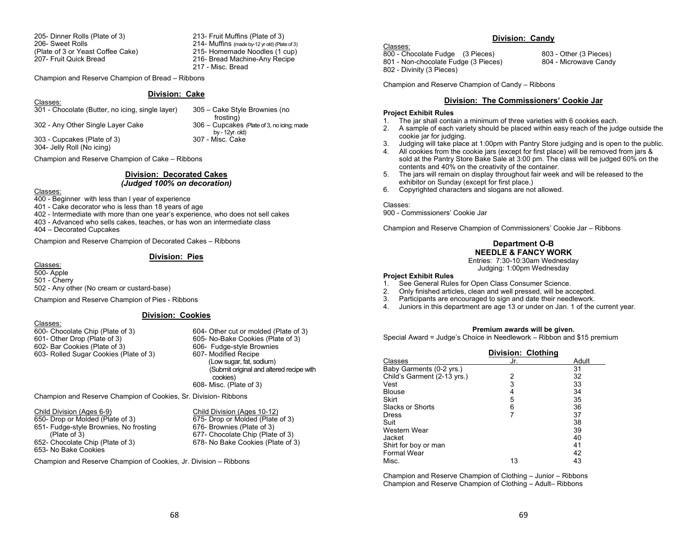205- Dinner Rolls (Plate of 3) 213- Fruit Muffins (Plate of 3) 206- Sweet Rolls207- Fruit Quick Bread

 214- Muffins (made by-12 yr old) (Plate of 3) (Plate of 3 or Yeast Coffee Cake) 215- Homemade Noodles (1 cup) 216- Bread Machine-Any Recipe 217 - Misc. Bread

Champion and Reserve Champion of Bread – Ribbons

# **Division: Cake**

Classes: 301 - Chocolate (Butter, no icing, single layer) 305 – Cake Style Brownies (no

 frosting) 302 - Any Other Single Layer Cake 306 – Cupcakes (Plate of 3, no icing; made by - 12yr. old)<br>307 - Misc. Cake

303 - Cupcakes (Plate of 3)

304- Jelly Roll (No icing)

Champion and Reserve Champion of Cake – Ribbons

#### **Division: Decorated Cakes** *(Judged 100% on decoration)*

#### Classes:

400 - Beginner with less than l year of experience

401 - Cake decorator who is less than 18 years of age

402 - Intermediate with more than one year's experience, who does not sell cakes

403 - Advanced who sells cakes, teaches, or has won an intermediate class

404 – Decorated Cupcakes

Champion and Reserve Champion of Decorated Cakes – Ribbons

### **Division: Pies**

Classes: 500- Apple 501 - Cherry 502 - Any other (No cream or custard-base)

Champion and Reserve Champion of Pies - Ribbons

# **Division: Cookies**

#### Classes:

600- Chocolate Chip (Plate of 3) 601- Other Drop (Plate of 3) 602- Bar Cookies (Plate of 3) 603- Rolled Sugar Cookies (Plate of 3) 607- Modified Recipe

604- Other cut or molded (Plate of 3) 605- No-Bake Cookies (Plate of 3) 606- Fudge-style Brownies<br>607- Modified Recipe (Low sugar, fat, sodium) (Submit original and altered recipe with cookies) 608- Misc. (Plate of 3)

Champion and Reserve Champion of Cookies, Sr. Division- Ribbons

| Child Division (Ages 6-9)              | Child Division (Ages 10-12)       |
|----------------------------------------|-----------------------------------|
| 650- Drop or Molded (Plate of 3)       | 675- Drop or Molded (Plate of 3)  |
| 651- Fudge-style Brownies, No frosting | 676- Brownies (Plate of 3)        |
| (Place of 3)                           | 677- Chocolate Chip (Plate of 3)  |
| 652- Chocolate Chip (Plate of 3)       | 678- No Bake Cookies (Plate of 3) |
| 653- No Bake Cookies                   |                                   |

Champion and Reserve Champion of Cookies, Jr. Division – Ribbons

# **Division: Candy**

Classes:

800 - Chocolate Fudge (3 Pieces) 803 - Other (3 Pieces) 801 - Non-chocolate Fudge (3 Pieces)

802 - Divinity (3 Pieces)

Champion and Reserve Champion of Candy – Ribbons

# **Division: The Commissioners' Cookie Jar**

#### **Project Exhibit Rules**

- 1.The jar shall contain a minimum of three varieties with 6 cookies each.
- 2. A sample of each variety should be placed within easy reach of the judge outside the cookie jar for judging.
- 3.Judging will take place at 1:00pm with Pantry Store judging and is open to the public.
- 4. All cookies from the cookie jars (except for first place) will be removed from jars & sold at the Pantry Store Bake Sale at 3:00 pm. The class will be judged 60% on the contents and 40% on the creativity of the container.
- 5. The jars will remain on display throughout fair week and will be released to the exhibitor on Sunday (except for first place.)
- 6. Copyrighted characters and slogans are not allowed.

#### Classes:

900 - Commissioners' Cookie Jar

Champion and Reserve Champion of Commissioners' Cookie Jar – Ribbons

# **Department O-B NEEDLE & FANCY WORK**

Entries: 7:30-10:30am Wednesday Judging: 1:00pm Wednesday

# **Project Exhibit Rules**

- 1. See General Rules for Open Class Consumer Science.
- 2.Only finished articles, clean and well pressed, will be accepted.
- 3.Participants are encouraged to sign and date their needlework.
- 4.Juniors in this department are age 13 or under on Jan. 1 of the current year.

#### **Premium awards will be given.**

Special Award = Judge's Choice in Needlework – Ribbon and \$15 premium

|                             | Division: Clothing |       |
|-----------------------------|--------------------|-------|
| Classes                     | Jr.                | Adult |
| Baby Garments (0-2 yrs.)    |                    | 31    |
| Child's Garment (2-13 yrs.) | 2                  | 32    |
| Vest                        | 3                  | 33    |
| <b>Blouse</b>               | 4                  | 34    |
| <b>Skirt</b>                | 5                  | 35    |
| Slacks or Shorts            | 6                  | 36    |
| <b>Dress</b>                | 7                  | 37    |
| Suit                        |                    | 38    |
| Western Wear                |                    | 39    |
| Jacket                      |                    | 40    |
| Shirt for boy or man        |                    | 41    |
| <b>Formal Wear</b>          |                    | 42    |
| Misc.                       | 13                 | 43    |

Champion and Reserve Champion of Clothing – Junior – Ribbons Champion and Reserve Champion of Clothing – Adult– Ribbons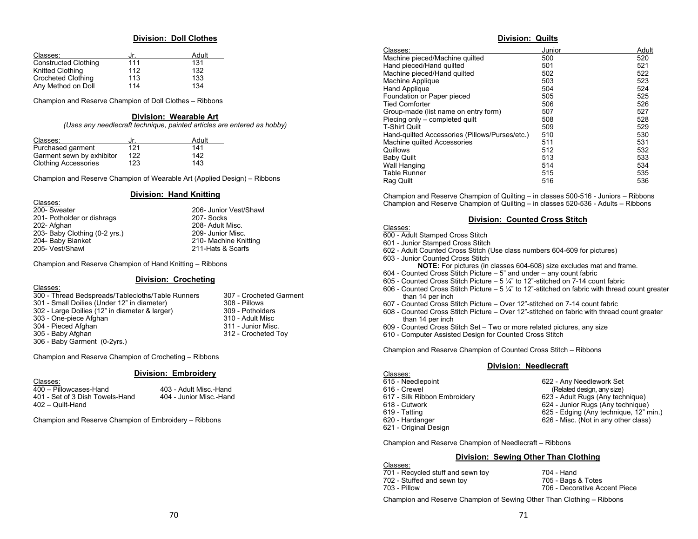## **Division: Doll Clothes**

| Classes:                    | Jr. | Adult |
|-----------------------------|-----|-------|
| <b>Constructed Clothing</b> | 111 | 131   |
| Knitted Clothing            | 112 | 132   |
| <b>Crocheted Clothing</b>   | 113 | 133   |
| Any Method on Doll          | 114 | 134   |

Champion and Reserve Champion of Doll Clothes – Ribbons

#### **Division: Wearable Art**

*(Uses any needlecraft technique, painted articles are entered as hobby)* 

| Classes:                    | Jr. | Adult |
|-----------------------------|-----|-------|
| Purchased garment           | 121 | 141   |
| Garment sewn by exhibitor   | 122 | 142   |
| <b>Clothing Accessories</b> | 123 | 143   |

Champion and Reserve Champion of Wearable Art (Applied Design) – Ribbons

### **Division: Hand Knitting**

| 200- Sweater                  | 206- Junior Vest/Shawl |
|-------------------------------|------------------------|
| 201- Potholder or dishrags    | 207- Socks             |
| 202- Afghan                   | 208- Adult Misc.       |
| 203- Baby Clothing (0-2 yrs.) | 209- Junior Misc.      |
| 204- Baby Blanket             | 210- Machine Knitting  |
| 205- Vest/Shawl               | 211-Hats & Scarfs      |

Champion and Reserve Champion of Hand Knitting – Ribbons

# **Division: Crocheting**

| Classes:                                          |                         |
|---------------------------------------------------|-------------------------|
| 300 - Thread Bedspreads/Tablecloths/Table Runners | 307 - Crocheted Garment |
| 301 - Small Doilies (Under 12" in diameter)       | 308 - Pillows           |
| 302 - Large Doilies (12" in diameter & larger)    | 309 - Potholders        |
| 303 - One-piece Afghan                            | 310 - Adult Misc        |
| 304 - Pieced Afghan                               | 311 - Junior Misc.      |
| 305 - Baby Afghan                                 | 312 - Crocheted Toy     |
| 306 - Baby Garment (0-2yrs.)                      |                         |

Champion and Reserve Champion of Crocheting – Ribbons

# **Division: Embroidery**

# Classes:

Classes:

 400 – Pillowcases-Hand 403 - Adult Misc.-Hand 401 - Set of 3 Dish Towels-Hand 404 - Junior Misc.-Hand 402 – Quilt-Hand

Champion and Reserve Champion of Embroidery – Ribbons

## **Division: Quilts**

| Classes:                                       | Junior | Adult |
|------------------------------------------------|--------|-------|
| Machine pieced/Machine quilted                 | 500    | 520   |
| Hand pieced/Hand quilted                       | 501    | 521   |
| Machine pieced/Hand quilted                    | 502    | 522   |
| Machine Applique                               | 503    | 523   |
| Hand Applique                                  | 504    | 524   |
| Foundation or Paper pieced                     | 505    | 525   |
| <b>Tied Comforter</b>                          | 506    | 526   |
| Group-made (list name on entry form)           | 507    | 527   |
| Piecing only – completed quilt                 | 508    | 528   |
| <b>T-Shirt Quilt</b>                           | 509    | 529   |
| Hand-quilted Accessories (Pillows/Purses/etc.) | 510    | 530   |
| Machine quilted Accessories                    | 511    | 531   |
| Quillows                                       | 512    | 532   |
| <b>Baby Quilt</b>                              | 513    | 533   |
| Wall Hanging                                   | 514    | 534   |
| <b>Table Runner</b>                            | 515    | 535   |
| Rag Quilt                                      | 516    | 536   |

Champion and Reserve Champion of Quilting – in classes 500-516 - Juniors – Ribbons Champion and Reserve Champion of Quilting – in classes 520-536 - Adults – Ribbons

# **Division: Counted Cross Stitch**

# Classes:

- 600 Adult Stamped Cross Stitch
- 601 Junior Stamped Cross Stitch
- 602 Adult Counted Cross Stitch (Use class numbers 604-609 for pictures)
- 603 Junior Counted Cross Stitch
	- **NOTE:** For pictures (in classes 604-608) size excludes mat and frame.
- 604 Counted Cross Stitch Picture 5" and under  $-$  any count fabric
- 605 Counted Cross Stitch Picture 5 ¼" to 12"-stitched on 7-14 count fabric
- 606 Counted Cross Stitch Picture  $-5\frac{1}{4}$ " to 12"-stitched on fabric with thread count greater than 14 per inch
- 607 Counted Cross Stitch Picture Over 12"-stitched on 7-14 count fabric
- 608 Counted Cross Stitch Picture Over 12"-stitched on fabric with thread count greater than 14 per inch
- 609 Counted Cross Stitch Set Two or more related pictures, any size
- 610 Computer Assisted Design for Counted Cross Stitch

Champion and Reserve Champion of Counted Cross Stitch – Ribbons

# **Division: Needlecraft**

| Classes:                     |                                        |
|------------------------------|----------------------------------------|
| 615 - Needlepoint            | 622 - Any Needlework Set               |
| 616 - Crewel                 | (Related design, any size)             |
| 617 - Silk Ribbon Embroidery | 623 - Adult Rugs (Any technique)       |
| 618 - Cutwork                | 624 - Junior Rugs (Any technique)      |
| 619 - Tatting                | 625 - Edging (Any technique, 12" min.) |
| 620 - Hardanger              | 626 - Misc. (Not in any other class)   |
| 621 - Original Design        |                                        |

Champion and Reserve Champion of Needlecraft – Ribbons

# **Division: Sewing Other Than Clothing**

| Classes:                          |                               |
|-----------------------------------|-------------------------------|
| 701 - Recycled stuff and sewn toy | 704 - Hand                    |
| 702 - Stuffed and sewn toy        | 705 - Bags & Totes            |
| 703 - Pillow                      | 706 - Decorative Accent Piece |
|                                   |                               |

Champion and Reserve Champion of Se wing Other Than Clothing – Ribbons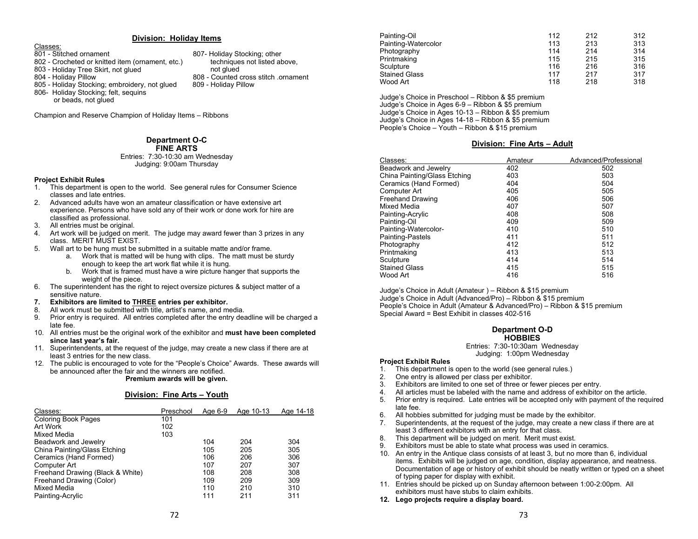#### **Division: Holiday Items**

Classes:

- 801 Stitched ornament 807-
- 802 Crocheted or knitted item (ornament, etc.) techniques<br>803 Holiday Tree Skirt, not glued above, not glued
- 803 Holiday Tree Skirt, not glued<br>804 Holiday Pillow
- 
- 805 Holiday Stocking; embroidery, not glued 806- Holiday Stocking; felt, sequins
	- or beads, not glued

Champion and Reserve Champion of Holiday Items – Ribbons

# **Department O-C FINE ARTS**

#### Entries: 7:30-10:30 am Wednesday Judging: 9:00am Thursday

# **Project Exhibit Rules**

- 1. This department is open to the world. See general rules for Consumer Science classes and late entries.
- 2. Advanced adults have won an amateur classification or have extensive art experience. Persons who have sold any of their work or done work for hire are classified as professional.
- 3. All entries must be original.
- 4. Art work will be judged on merit. The judge may award fewer than 3 prizes in any class. MERIT MUST EXIST.
- 5. Wall art to be hung must be submitted in a suitable matte and/or frame.
	- a. Work that is matted will be hung with clips. The matt must be sturdy enough to keep the art work flat while it is hung.
	- b. Work that is framed must have a wire picture hanger that supports the weight of the piece.
- 6. The superintendent has the right to reject oversize pictures & subject matter of a sensitive nature.
- **7.Exhibitors are limited to THREE entries per exhibitor.**
- 8.All work must be submitted with title, artist's name, and media.
- 9. Prior entry is required. All entries completed after the entry deadline will be charged a late fee.
- 10. All entries must be the original work of the exhibitor and **must have been completed since last year's fair.**
- 11. Superintendents, at the request of the judge, may create a new class if there are at least 3 entries for the new class.
- 12. The public is encouraged to vote for the "People's Choice" Awards. These awards will be announced after the fair and the winners are notified.

#### **Premium awards will be given.**

# **Division: Fine Arts – Youth**

| Classes:                         | Preschool | Age 6-9 | Age 10-13 | Age 14-18 |
|----------------------------------|-----------|---------|-----------|-----------|
| <b>Coloring Book Pages</b>       | 101       |         |           |           |
| Art Work                         | 102       |         |           |           |
| Mixed Media                      | 103       |         |           |           |
| Beadwork and Jewelry             |           | 104     | 204       | 304       |
| China Painting/Glass Etching     |           | 105     | 205       | 305       |
| Ceramics (Hand Formed)           |           | 106     | 206       | 306       |
| Computer Art                     |           | 107     | 207       | 307       |
| Freehand Drawing (Black & White) |           | 108     | 208       | 308       |
| Freehand Drawing (Color)         |           | 109     | 209       | 309       |
| Mixed Media                      |           | 110     | 210       | 310       |
| Painting-Acrylic                 |           | 111     | 211       | 311       |

| Painting-Oil         | 112 | 212 | 312 |
|----------------------|-----|-----|-----|
| Painting-Watercolor  | 113 | 213 | 313 |
| Photography          | 114 | 214 | 314 |
| Printmaking          | 115 | 215 | 315 |
| Sculpture            | 116 | 216 | 316 |
| <b>Stained Glass</b> | 117 | 217 | 317 |
| Wood Art             | 118 | 218 | 318 |

Judge's Choice in Preschool – Ribbon & \$5 premium Judge's Choice in Ages 6-9 – Ribbon & \$5 premium Judge's Choice in Ages 10-13 – Ribbon & \$5 premium Judge's Choice in Ages 14-18 – Ribbon & \$5 premium People's Choice – Youth – Ribbon & \$15 premium

# **Division: Fine Arts – Adult**

| Classes:                     | Amateur | Advanced/Professional |
|------------------------------|---------|-----------------------|
| Beadwork and Jewelry         | 402     | 502                   |
| China Painting/Glass Etching | 403     | 503                   |
| Ceramics (Hand Formed)       | 404     | 504                   |
| Computer Art                 | 405     | 505                   |
| <b>Freehand Drawing</b>      | 406     | 506                   |
| Mixed Media                  | 407     | 507                   |
| Painting-Acrylic             | 408     | 508                   |
| Painting-Oil                 | 409     | 509                   |
| Painting-Watercolor-         | 410     | 510                   |
| Painting-Pastels             | 411     | 511                   |
| Photography                  | 412     | 512                   |
| Printmaking                  | 413     | 513                   |
| Sculpture                    | 414     | 514                   |
| <b>Stained Glass</b>         | 415     | 515                   |
| Wood Art                     | 416     | 516                   |

Judge's Choice in Adult (Amateur ) – Ribbon & \$15 premium Judge's Choice in Adult (Advanced/Pro) – Ribbon & \$15 premium People's Choice in Adult (Amateur & Advanced/Pro) – Ribbon & \$15 premium Special Award = Best Exhibit in classes 402-516

# **Department O-D HOBBIES**

Entries: 7:30-10:30am Wednesday Judging: 1:00pm Wednesday

# **Project Exhibit Rules**

- 1. This department is open to the world (see general rules.)
- 2.One entry is allowed per class per exhibitor.
- 3.Exhibitors are limited to one set of three or fewer pieces per entry.
- 4.All articles must be labeled with the name and address of exhibitor on the article.
- 5. Prior entry is required. Late entries will be accepted only with payment of the required late fee.
- 6.All hobbies submitted for judging must be made by the exhibitor.
- 7. Superintendents, at the request of the judge, may create a new class if there are at least 3 different exhibitors with an entry for that class.
- 8.This department will be judged on merit. Merit must exist.
- 9. Exhibitors must be able to state what process was used in ceramics.
- 10. An entry in the Antique class consists of at least 3, but no more than 6, individual items. Exhibits will be judged on age, condition, display appearance, and neatness. Documentation of age or history of exhibit should be neatly written or typed on a sheet of typing paper for display with exhibit.
- 11. Entries should be picked up on Sunday afternoon between 1:00-2:00pm. All exhibitors must have stubs to claim exhibits.

# **12. Lego projects require a display board.**

- 807- Holiday Stocking; other<br>techniques not listed above.
- 808 Counted cross stitch .ornament<br>809 Holiday Pillow
-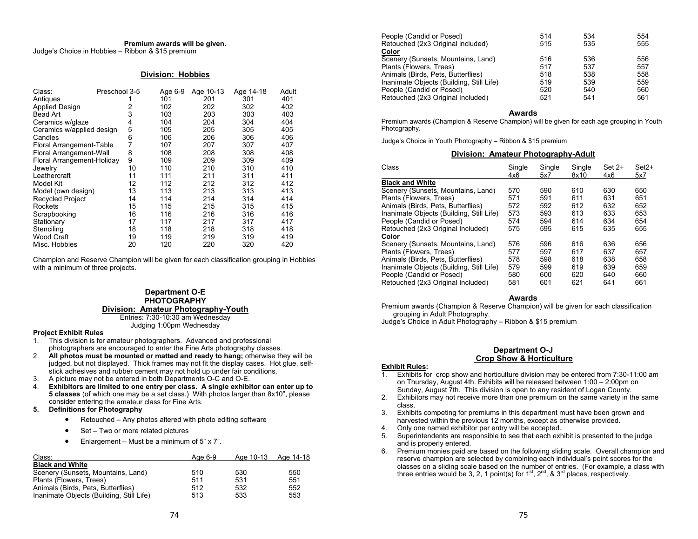#### **Premium awards will be given.**  Judge's Choice in Hobbies – Ribbon & \$15 premium

#### **Division: Hobbies**

| Class:                     | Preschool 3-5 | Age 6-9 | Age 10-13 | Age 14-18 | Adult |
|----------------------------|---------------|---------|-----------|-----------|-------|
| Antiques                   |               | 101     | 201       | 301       | 401   |
| <b>Applied Design</b>      | 2             | 102     | 202       | 302       | 402   |
| Bead Art                   | 3             | 103     | 203       | 303       | 403   |
| Ceramics w/glaze           | 4             | 104     | 204       | 304       | 404   |
| Ceramics w/applied design  | 5             | 105     | 205       | 305       | 405   |
| Candles                    | 6             | 106     | 206       | 306       | 406   |
| Floral Arrangement-Table   | 7             | 107     | 207       | 307       | 407   |
| Floral Arrangement-Wall    | 8             | 108     | 208       | 308       | 408   |
| Floral Arrangement-Holiday | 9             | 109     | 209       | 309       | 409   |
| Jewelry                    | 10            | 110     | 210       | 310       | 410   |
| Leathercraft               | 11            | 111     | 211       | 311       | 411   |
| Model Kit                  | 12            | 112     | 212       | 312       | 412   |
| Model (own design)         | 13            | 113     | 213       | 313       | 413   |
| <b>Recycled Project</b>    | 14            | 114     | 214       | 314       | 414   |
| Rockets                    | 15            | 115     | 215       | 315       | 415   |
| Scrapbooking               | 16            | 116     | 216       | 316       | 416   |
| Stationary                 | 17            | 117     | 217       | 317       | 417   |
| Stenciling                 | 18            | 118     | 218       | 318       | 418   |
| <b>Wood Craft</b>          | 19            | 119     | 219       | 319       | 419   |
| Misc. Hobbies              | 20            | 120     | 220       | 320       | 420   |

Champion and Reserve Champion will be given for each classification grouping in Hobbies with a minimum of three projects.

# **Department O-E PHOTOGRAPHY Division: Amateur Photography-Youth**

Entries: 7:30-10:30 am Wednesday Judging 1:00pm Wednesday

## **Project Exhibit Rules**

- 1. This division is for amateur photographers. Advanced and professional photographers are encouraged to enter the Fine Arts photography classes.
- 2. **All photos must be mounted or matted and ready to hang;** otherwise they will be judged, but not displayed. Thick frames may not fit the display cases. Hot glue, selfstick adhesives and rubber cement may not hold up under fair conditions.
- 3.A picture may not be entered in both Departments O-C and O-E.
- 4. **Exhibitors are limited to one entry per class. A single exhibitor can enter up to 5 classes** (of which one may be a set class.) With photos larger than 8x10", please consider entering the amateur class for Fine Arts.

# **5. Definitions for Photography**

- $\bullet$ Retouched – Any photos altered with photo editing software
- $\bullet$ Set – Two or more related pictures
- $\bullet$ Enlargement – Must be a minimum of 5" x 7".

| Class:                                   | Age 6-9 |     | Age 10-13 Age 14-18 |
|------------------------------------------|---------|-----|---------------------|
| <b>Black and White</b>                   |         |     |                     |
| Scenery (Sunsets, Mountains, Land)       | 510     | 530 | 550                 |
| Plants (Flowers, Trees)                  | 511     | 531 | 551                 |
| Animals (Birds, Pets, Butterflies)       | 512     | 532 | 552                 |
| Inanimate Objects (Building, Still Life) | 513     | 533 | 553                 |

| People (Candid or Posed)                 | 514 | 534 | 554 |
|------------------------------------------|-----|-----|-----|
| Retouched (2x3 Original included)        | 515 | 535 | 555 |
| Color                                    |     |     |     |
| Scenery (Sunsets, Mountains, Land)       | 516 | 536 | 556 |
| Plants (Flowers, Trees)                  | 517 | 537 | 557 |
| Animals (Birds, Pets, Butterflies)       | 518 | 538 | 558 |
| Inanimate Objects (Building, Still Life) | 519 | 539 | 559 |
| People (Candid or Posed)                 | 520 | 540 | 560 |
| Retouched (2x3 Original Included)        | 521 | 541 | 561 |

#### **Awards**

 Premium awards (Champion & Reserve Champion) will be given for each age grouping in Youth Photography.

Judge's Choice in Youth Photography – Ribbon & \$15 premium

#### **Division: Amateur Photography-Adult**

| Class                                    | Single<br>4x6 | Single<br>5x7 | Single<br>8x10 | $Set 2+$<br>4x6 | $Set2+$<br>5x7 |
|------------------------------------------|---------------|---------------|----------------|-----------------|----------------|
| <b>Black and White</b>                   |               |               |                |                 |                |
| Scenery (Sunsets, Mountains, Land)       | 570           | 590           | 610            | 630             | 650            |
| Plants (Flowers, Trees)                  | 571           | 591           | 611            | 631             | 651            |
| Animals (Birds, Pets, Butterflies)       | 572           | 592           | 612            | 632             | 652            |
| Inanimate Objects (Building, Still Life) | 573           | 593           | 613            | 633             | 653            |
| People (Candid or Posed)                 | 574           | 594           | 614            | 634             | 654            |
| Retouched (2x3 Original Included)        | 575           | 595           | 615            | 635             | 655            |
| Color                                    |               |               |                |                 |                |
| Scenery (Sunsets, Mountains, Land)       | 576           | 596           | 616            | 636             | 656            |
| Plants (Flowers, Trees)                  | 577           | 597           | 617            | 637             | 657            |
| Animals (Birds, Pets, Butterflies)       | 578           | 598           | 618            | 638             | 658            |
| Inanimate Objects (Building, Still Life) | 579           | 599           | 619            | 639             | 659            |
| People (Candid or Posed)                 | 580           | 600           | 620            | 640             | 660            |
| Retouched (2x3 Original Included)        | 581           | 601           | 621            | 641             | 661            |

#### **Awards**

 Premium awards (Champion & Reserve Champion) will be given for each classification grouping in Adult Photography.

Judge's Choice in Adult Photography – Ribbon & \$15 premium

## **Department O-J Crop Show & Horticulture**

# **Exhibit Rules:**

- 1. Exhibits for crop show and horticulture division may be entered from 7:30-11:00 am on Thursday, August 4th. Exhibits will be released between 1:00 – 2:00pm on Sunday, August 7th. This division is open to any resident of Logan County.
- 2. Exhibitors may not receive more than one premium on the same variety in the same class.
- Exhibits competing for premiums in this department must have been grown and 3.harvested within the previous 12 months, except as otherwise provided.
- 4.Only one named exhibitor per entry will be accepted.
- 5.Superintendents are responsible to see that each exhibit is presented to the judge and is properly entered.
- 6. Premium monies paid are based on the following sliding scale. Overall champion and reserve champion are selected by combining each individual's point scores for the classes on a sliding scale based on the number of entries. (For example, a class with three entries would be 3, 2, 1 point(s) for  $1^{st}$ ,  $2^{nd}$ ,  $8 \cdot 3^{rd}$  places, respectively.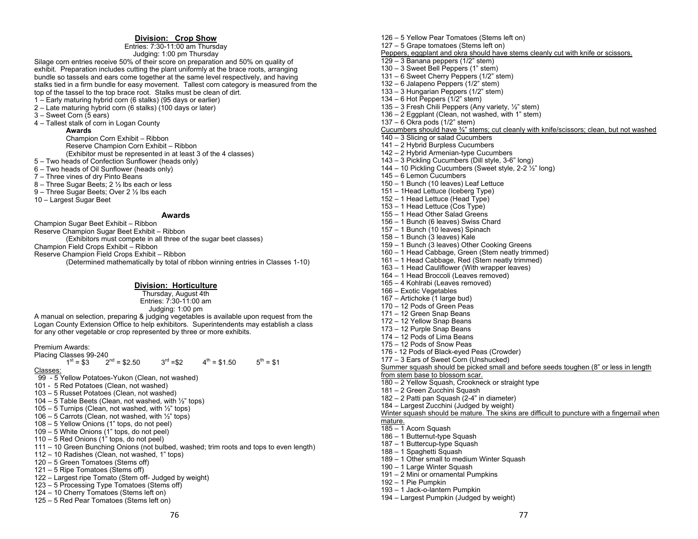# **Division: Crop Show**

Entries: 7:30-11:00 am Thursday Judging: 1:00 pm Thursday

Silage corn entries receive 50% of their score on preparation and 50% on quality of exhibit. Preparation includes cutting the plant uniformly at the brace roots, arranging bundle so tassels and ears come together at the same level respectively, and having stalks tied in a firm bundle for easy movement. Tallest corn category is measured from the top of the tassel to the top brace root. Stalks must be clean of dirt.

- 1 Early maturing hybrid corn (6 stalks) (95 days or earlier)
- 2 Late maturing hybrid corn (6 stalks) (100 days or later)
- 3 Sweet Corn (5 ears)

4 – Tallest stalk of corn in Logan County

**Awards**Champion Corn Exhibit – Ribbon Reserve Champion Corn Exhibit – Ribbon

(Exhibitor must be represented in at least 3 of the 4 classes)

- 5 Two heads of Confection Sunflower (heads only)
- 6 Two heads of Oil Sunflower (heads only)
- 7 Three vines of dry Pinto Beans
- 8 Three Sugar Beets; 2 ½ lbs each or less
- 9 Three Sugar Beets; Over 2 ½ lbs each
- 10 Largest Sugar Beet

#### **Awards**

Champion Sugar Beet Exhibit – Ribbon Reserve Champion Sugar Beet Exhibit – Ribbon (Exhibitors must compete in all three of the sugar beet classes) Champion Field Crops Exhibit – Ribbon Reserve Champion Field Crops Exhibit – Ribbon (Determined mathematically by total of ribbon winning entries in Classes 1-10)

# **Division: Horticulture**

Thursday, August 4th Entries: 7:30-11:00 am Judging: 1:00 pm

A manual on selection, preparing & judging vegetables is available upon request from the Logan County Extension Office to help exhibitors. Superintendents may establish a class for any other vegetable or crop represented by three or more exhibits.

Premium Awards:

Placing Classes 99-240

 $1^{st} = $3$   $2^{nd} = $2.50$   $3^{rd} = $2$   $4^{th} = $1.50$   $5^{th} = $1$ 

Classes:

- 99 5 Yellow Potatoes-Yukon (Clean, not washed)
- 101 5 Red Potatoes (Clean, not washed)
- 103 5 Russet Potatoes (Clean, not washed)
- 104 5 Table Beets (Clean, not washed, with ½" tops)
- 105 5 Turnips (Clean, not washed, with  $\frac{1}{2}$ " tops)
- 106 5 Carrots (Clean, not washed, with  $\frac{1}{2}$ " tops)
- 108 5 Yellow Onions (1" tops, do not peel)
- $109 5$  White Onions (1" tops, do not peel)
- 110 5 Red Onions (1" tops, do not peel)
- 111 10 Green Bunching Onions (not bulbed, washed; trim roots and tops to even length)
- 112 10 Radishes (Clean, not washed, 1" tops)
- 120 5 Green Tomatoes (Stems off)
- 121 5 Ripe Tomatoes (Stems off)
- 122 Largest ripe Tomato (Stem off- Judged by weight)
- 123 5 Processing Type Tomatoes (Stems off)
- 124 10 Cherry Tomatoes (Stems left on)
- 125 5 Red Pear Tomatoes (Stems left on)

127 – 5 Grape tomatoes (Stems left on) Peppers, eggplant and okra should have stems cleanly cut with knife or scissors. 129 – 3 Banana peppers (1/2" stem) 130 – 3 Sweet Bell Peppers (1" stem) 131 – 6 Sweet Cherry Peppers (1/2" stem) 132 – 6 Jalapeno Peppers (1/2" stem) 133 – 3 Hungarian Peppers (1/2" stem) 134 – 6 Hot Peppers  $(1/2)$ " stem) 135 – 3 Fresh Chili Peppers (Any variety, ½" stem) 136 – 2 Eggplant (Clean, not washed, with 1" stem) 137 – 6 Okra pods (1/2" stem) Cucumbers should have ¾" stems; cut cleanly with knife/scissors; clean, but not washed 140 – 3 Slicing or salad Cucumbers 141 – 2 Hybrid Burpless Cucumbers 142 – 2 Hybrid Armenian-type Cucumbers 143 – 3 Pickling Cucumbers (Dill style, 3-6" long) 144 – 10 Pickling Cucumbers (Sweet style,  $2-2\frac{7}{2}$ " long) 145 – 6 Lemon Cucumbers 150 – 1 Bunch (10 leaves) Leaf Lettuce 151 – 1Head Lettuce (Iceberg Type) 152 – 1 Head Lettuce (Head Type) 153 – 1 Head Lettuce (Cos Type) 155 – 1 Head Other Salad Greens 156 – 1 Bunch (6 leaves) Swiss Chard 157 – 1 Bunch (10 leaves) Spinach 158 – 1 Bunch (3 leaves) Kale 159 – 1 Bunch (3 leaves) Other Cooking Greens 160 – 1 Head Cabbage, Green (Stem neatly trimmed) 161 – 1 Head Cabbage, Red (Stem neatly trimmed) 163 – 1 Head Cauliflower (With wrapper leaves) 164 – 1 Head Broccoli (Leaves removed) 165 – 4 Kohlrabi (Leaves removed) 166 – Exotic Vegetables 167 – Artichoke (1 large bud) 170 – 12 Pods of Green Peas 171 – 12 Green Snap Beans 172 – 12 Yellow Snap Beans 173 – 12 Purple Snap Beans 174 – 12 Pods of Lima Beans 175 – 12 Pods of Snow Peas 176 - 12 Pods of Black-eyed Peas (Crowder) 177 – 3 Ears of Sweet Corn (Unshucked) Summer squash should be picked small and before seeds toughen (8" or less in length from stem base to blossom scar. 180 – 2 Yellow Squash, Crookneck or straight type 181 – 2 Green Zucchini Squash 182 – 2 Patti pan Squash (2-4" in diameter) 184 – Largest Zucchini (Judged by weight) Winter squash should be mature. The skins are difficult to puncture with a fingernail when mature. 185 – 1 Acorn Squash 186 – 1 Butternut-type Squash 187 – 1 Buttercup-type Squash 188 – 1 Spaghetti Squash 189 – 1 Other small to medium Winter Squash 190 – 1 Large Winter Squash

- 191 2 Mini or ornamental Pumpkins
- 192 1 Pie Pumpkin
- 193 1 Jack-o-lantern Pumpkin
- 194 Largest Pumpkin (Judged by weight)

126 – 5 Yellow Pear Tomatoes (Stems left on)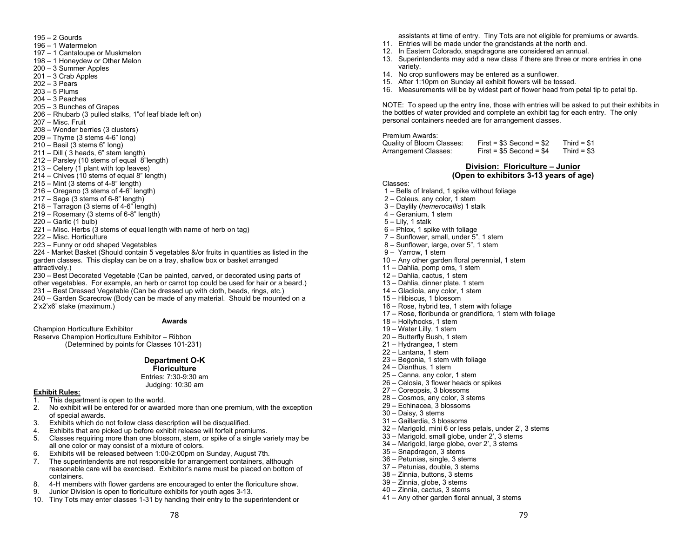- 195 2 Gourds
- 196 1 Watermelon
- 197 1 Cantaloupe or Muskmelon
- 198 1 Honeydew or Other Melon
- 200 3 Summer Apples
- $201 3$  Crab Apples
- 202 3 Pears
- 203 5 Plums
- 204 3 Peaches
- 205 3 Bunches of Grapes
- 206 Rhubarb (3 pulled stalks, 1"of leaf blade left on)
- 207 Misc. Fruit
- 208 Wonder berries (3 clusters)
- $209 -$ Thyme (3 stems 4-6" long)
- $210 -$  Basil (3 stems 6" long)
- $211 -$  Dill ( 3 heads, 6" stem length)
- 212 Parsley (10 stems of equal 8"length)
- $213 C$ elery (1 plant with top leaves)
- $214 -$  Chives (10 stems of equal 8" length)
- 215 Mint (3 stems of 4-8" length)
- 216 Oregano (3 stems of 4-6" length)
- $217 -$  Sage (3 stems of 6-8" length)
- 218 Tarragon (3 stems of 4-6" length)
- 219 Rosemary (3 stems of 6-8" length)
- 220 Garlic (1 bulb)
- $221 -$  Misc. Herbs (3 stems of equal length with name of herb on tag)
- 222 Misc. Horticulture
- 223 Funny or odd shaped Vegetables

224 - Market Basket (Should contain 5 vegetables &/or fruits in quantities as listed in the garden classes. This display can be on a tray, shallow box or basket arranged attractively.)

230 – Best Decorated Vegetable (Can be painted, carved, or decorated using parts of other vegetables. For example, an herb or carrot top could be used for hair or a beard.) 231 – Best Dressed Vegetable (Can be dressed up with cloth, beads, rings, etc.)

240 – Garden Scarecrow (Body can be made of any material. Should be mounted on a 2'x2'x6' stake (maximum.)

#### **Awards**

Champion Horticulture Exhibitor

Reserve Champion Horticulture Exhibitor – Ribbon (Determined by points for Classes 101-231)

# **Department O-K**

**Floriculture** 

Entries: 7:30-9:30 am Judging: 10:30 am

#### **Exhibit Rules:**

- 1. This department is open to the world.
- 2. No exhibit will be entered for or awarded more than one premium, with the exception of special awards.
- 3. Exhibits which do not follow class description will be disqualified.
- 4. Exhibits that are picked up before exhibit release will forfeit premiums.
- 5. Classes requiring more than one blossom, stem, or spike of a single variety may be all one color or may consist of a mixture of colors.
- 6. Exhibits will be released between 1:00-2:00pm on Sunday, August 7th.
- 7. The superintendents are not responsible for arrangement containers, although reasonable care will be exercised. Exhibitor's name must be placed on bottom of containers.
- 8. 4-H members with flower gardens are encouraged to enter the floriculture show.
- 9. Junior Division is open to floriculture exhibits for youth ages 3-13.
- 10. Tiny Tots may enter classes 1-31 by handing their entry to the superintendent or

78

assistants at time of entry. Tiny Tots are not eligible for premiums or awards.

- 11. Entries will be made under the grandstands at the north end.
- 12. In Eastern Colorado, snapdragons are considered an annual.
- 13. Superintendents may add a new class if there are three or more entries in one variety.
- 14. No crop sunflowers may be entered as a sunflower.
- 15. After 1:10pm on Sunday all exhibit flowers will be tossed.
- 16. Measurements will be by widest part of flower head from petal tip to petal tip.

NOTE: To speed up the entry line, those with entries will be asked to put their exhibits in the bottles of water provided and complete an exhibit tag for each entry. The only personal containers needed are for arrangement classes.

Premium Awards: Quality of Bloom Classes: First = \$3 Second = \$2 Third = \$1<br>Arrangement Classes: First = \$5 Second = \$4 Third = \$3 Arrangement Classes:

# **Division: Floriculture – Junior (Open to exhibitors 3-13 years of age)**

79

- Classes:
- 1 Bells of Ireland, 1 spike without foliage
- $2 -$  Coleus, any color, 1 stem
- 3 Daylily (*hemerocallis*) 1 stalk
- 4 Geranium, 1 stem
- 5 Lily, 1 stalk
- 6 Phlox, 1 spike with foliage
- 7 Sunflower, small, under 5", 1 stem
- 8 Sunflower, large, over 5", 1 stem
- 9 Yarrow, 1 stem
- 10 Any other garden floral perennial, 1 stem
- 11 Dahlia, pomp oms, 1 stem
- 12 Dahlia, cactus, 1 stem
- 13 Dahlia, dinner plate, 1 stem
- 14 Gladiola, any color, 1 stem
- 15 Hibiscus, 1 blossom
- 16 Rose, hybrid tea, 1 stem with foliage
- 17 Rose, floribunda or grandiflora, 1 stem with foliage
- 18 Hollyhocks, 1 stem
- 19 Water Lilly, 1 stem
- 20 Butterfly Bush, 1 stem
- 21 Hydrangea, 1 stem
- 22 Lantana, 1 stem
- 23 Begonia, 1 stem with foliage
- 24 Dianthus, 1 stem
- 25 Canna, any color, 1 stem
- 26 Celosia, 3 flower heads or spikes
- 27 Coreopsis, 3 blossoms
- 28 Cosmos, any color, 3 stems
- 29 Echinacea, 3 blossoms
- 30 Daisy, 3 stems
- 31 Gaillardia, 3 blossoms
- 32 Marigold, mini 6 or less petals, under 2', 3 stems
- 33 Marigold, small globe, under 2', 3 stems
- 34 Marigold, large globe, over 2', 3 stems
- 35 Snapdragon, 3 stems
- 36 Petunias, single, 3 stems
- 37 Petunias, double, 3 stems
- 38 Zinnia, buttons, 3 stems
- 39 Zinnia, globe, 3 stems
- 40 Zinnia, cactus, 3 stems
- 41 Any other garden floral annual, 3 stems